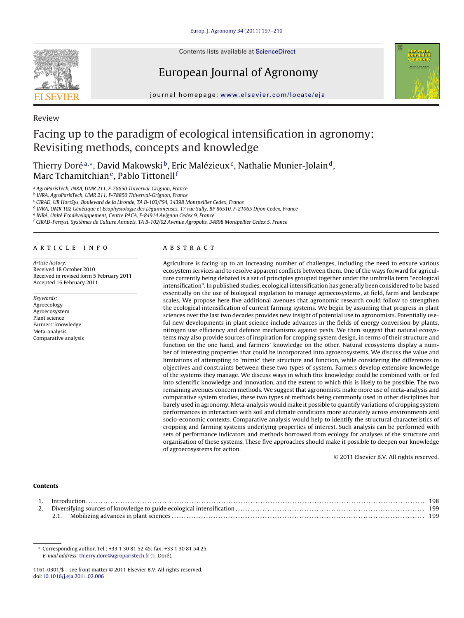

Review

Contents lists available at [ScienceDirect](http://www.sciencedirect.com/science/journal/11610301)

# European Journal of Agronomy



journal homepage: [www.elsevier.com/locate/eja](http://www.elsevier.com/locate/eja)

# Facing up to the paradigm of ecological intensification in agronomy: Revisiting methods, concepts and knowledge

Thierry Doré<sup>a,∗</sup>, David Makowski<sup>b</sup>, Eric Malézieux<sup>c</sup>, Nathalie Munier-Jolain<sup>d</sup>, Marc Tchamitchian<sup>e</sup>, Pablo Tittonell<sup>f</sup>

<sup>a</sup> AgroParisTech, INRA, UMR 211, F-78850 Thiverval-Grignon, France

<sup>b</sup> INRA, AgroParisTech, UMR 211, F-78850 Thiverval-Grignon, France

<sup>c</sup> CIRAD, UR HortSys, Boulevard de la Lironde, TA B-103/PS4, 34398 Montpellier Cedex, France

<sup>d</sup> INRA, UMR 102 Génétique et Ecophysiologie des Légumineuses, 17 rue Sully, BP 86510, F-21065 Dijon Cedex, France

<sup>e</sup> INRA, Unité Ecodéveloppement, Centre PACA, F-84914 Avignon Cedex 9, France

<sup>f</sup> CIRAD-Persyst, Systèmes de Culture Annuels, TA B-102/02 Avenue Agropolis, 34898 Montpellier Cedex 5, France

## article info

Article history: Received 18 October 2010 Received in revised form 5 February 2011 Accepted 16 February 2011

Keywords: Agroecology Agroecosystem Plant science Farmers' knowledge Meta-analysis Comparative analysis

# **ABSTRACT**

Agriculture is facing up to an increasing number of challenges, including the need to ensure various ecosystem services and to resolve apparent conflicts between them. One of the ways forward for agriculture currently being debated is a set of principles grouped together under the umbrella term "ecological intensification". In published studies, ecological intensification has generally been considered to be based essentially on the use of biological regulation to manage agroecosystems, at field, farm and landscape scales. We propose here five additional avenues that agronomic research could follow to strengthen the ecological intensification of current farming systems. We begin by assuming that progress in plant sciences over the last two decades provides new insight of potential use to agronomists. Potentially useful new developments in plant science include advances in the fields of energy conversion by plants, nitrogen use efficiency and defence mechanisms against pests. We then suggest that natural ecosystems may also provide sources of inspiration for cropping system design, in terms of their structure and function on the one hand, and farmers' knowledge on the other. Natural ecosystems display a number of interesting properties that could be incorporated into agroecosystems. We discuss the value and limitations of attempting to 'mimic' their structure and function, while considering the differences in objectives and constraints between these two types of system. Farmers develop extensive knowledge of the systems they manage. We discuss ways in which this knowledge could be combined with, or fed into scientific knowledge and innovation, and the extent to which this is likely to be possible. The two remaining avenues concern methods. We suggest that agronomists make more use of meta-analysis and comparative system studies, these two types of methods being commonly used in other disciplines but barely used in agronomy. Meta-analysis would make it possible to quantify variations of cropping system performances in interaction with soil and climate conditions more accurately across environments and socio-economic contexts. Comparative analysis would help to identify the structural characteristics of cropping and farming systems underlying properties of interest. Such analysis can be performed with sets of performance indicators and methods borrowed from ecology for analyses of the structure and organisation of these systems. These five approaches should make it possible to deepen our knowledge of agroecosystems for action.

© 2011 Elsevier B.V. All rights reserved.

## **Contents**

∗ Corresponding author. Tel.: +33 1 30 81 52 45; fax: +33 1 30 81 54 25. E-mail address: [thierry.dore@agroparistech.fr](mailto:thierry.dore@agroparistech.fr) (T. Doré).

<sup>1161-0301/\$ –</sup> see front matter © 2011 Elsevier B.V. All rights reserved. doi:[10.1016/j.eja.2011.02.006](dx.doi.org/10.1016/j.eja.2011.02.006)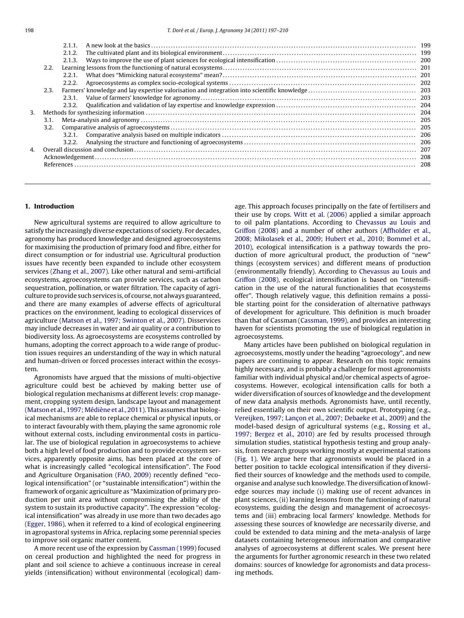|    |      | 2.1.1. |  |      |  |
|----|------|--------|--|------|--|
|    |      | 2.1.2. |  |      |  |
|    |      | 2.1.3. |  |      |  |
|    | 2.2. |        |  |      |  |
|    |      | 2.2.1. |  |      |  |
|    |      | 2.2.2. |  |      |  |
|    | 2.3. |        |  |      |  |
|    |      | 2.3.1. |  |      |  |
|    |      | 2.3.2. |  |      |  |
| 3. |      |        |  |      |  |
|    | 3.1. |        |  |      |  |
|    | 3.2. |        |  |      |  |
|    |      | 3.2.1. |  |      |  |
|    |      | 3.2.2. |  |      |  |
| 4. |      |        |  |      |  |
|    |      |        |  |      |  |
|    |      |        |  | -208 |  |
|    |      |        |  |      |  |

# **1. Introduction**

New agricultural systems are required to allow agriculture to satisfy the increasingly diverse expectations of society. For decades, agronomy has produced knowledge and designed agroecosystems for maximising the production of primary food and fibre, either for direct consumption or for industrial use. Agricultural production issues have recently been expanded to include other ecosystem services ([Zhang et al., 2007\).](#page-13-0) Like other natural and semi-artificial ecosystems, agroecosystems can provide services, such as carbon sequestration, pollination, or water filtration. The capacity of agriculture to provide such services is, of course, not always guaranteed, and there are many examples of adverse effects of agricultural practices on the environment, leading to ecological disservices of agriculture [\(Matson et al., 1997; Swinton et al., 2007\).](#page-12-0) Disservices may include decreases in water and air quality or a contribution to biodiversity loss. As agroecosystems are ecosystems controlled by humans, adopting the correct approach to a wide range of production issues requires an understanding of the way in which natural and human-driven or forced processes interact within the ecosystem.

Agronomists have argued that the missions of multi-objective agriculture could best be achieved by making better use of biological regulation mechanisms at different levels: crop management, cropping system design, landscape layout and management (Matson et al., 1997; Médiène et al., 2011). This assumes that biological mechanisms are able to replace chemical or physical inputs, or to interact favourably with them, playing the same agronomic role without external costs, including environmental costs in particular. The use of biological regulation in agroecosystems to achieve both a high level of food production and to provide ecosystem services, apparently opposite aims, has been placed at the core of what is increasingly called "ecological intensification". The Food and Agriculture Organisation ([FAO, 2009\)](#page-11-0) recently defined "ecological intensification" (or "sustainable intensification") within the framework of organic agriculture as "Maximization of primary production per unit area without compromising the ability of the system to sustain its productive capacity". The expression "ecological intensification" was already in use more than two decades ago ([Egger, 1986\),](#page-11-0) when it referred to a kind of ecological engineering in agropastoral systems in Africa, replacing some perennial species to improve soil organic matter content.

A more recent use of the expression by [Cassman \(1999\)](#page-11-0) focused on cereal production and highlighted the need for progress in plant and soil science to achieve a continuous increase in cereal yields (intensification) without environmental (ecological) damage. This approach focuses principally on the fate of fertilisers and their use by crops. [Witt et al. \(2006\)](#page-13-0) applied a similar approach to oil palm plantations. According to [Chevassus au Louis and](#page-11-0) [Griffon \(2008\)](#page-11-0) and a number of other authors ([Affholder et al.,](#page-11-0) [2008; Mikolasek et al., 2009; Hubert et al., 2010; Bommel et al.,](#page-11-0) [2010\),](#page-11-0) ecological intensification is a pathway towards the production of more agricultural product, the production of "new" things (ecosystem services) and different means of production (environmentally friendly). According to [Chevassus au Louis and](#page-11-0) [Griffon \(2008\),](#page-11-0) ecological intensification is based on "intensification in the use of the natural functionalities that ecosystems offer". Though relatively vague, this definition remains a possible starting point for the consideration of alternative pathways of development for agriculture. This definition is much broader than that of Cassman ([Cassman, 1999\),](#page-11-0) and provides an interesting haven for scientists promoting the use of biological regulation in agroecosystems.

Many articles have been published on biological regulation in agroecosystems, mostly under the heading "agroecology", and new papers are continuing to appear. Research on this topic remains highly necessary, and is probably a challenge for most agronomists familiar with individual physical and/or chemical aspects of agroecosystems. However, ecological intensification calls for both a wider diversification of sources of knowledge and the development of new data analysis methods. Agronomists have, until recently, relied essentially on their own scientific output. Prototyping (e.g., Vereijken, 1997; Lancon et al., 2007; Debaeke et al., 2009) and the model-based design of agricultural systems (e.g., [Rossing et al.,](#page-13-0) [1997; Bergez et al., 2010\)](#page-13-0) are fed by results processed through simulation studies, statistical hypothesis testing and group analysis, from research groups working mostly at experimental stations [\(Fig. 1\)](#page-2-0). We argue here that agronomists would be placed in a better position to tackle ecological intensification if they diversified their sources of knowledge and the methods used to compile, organise and analyse such knowledge. The diversification of knowledge sources may include (i) making use of recent advances in plant sciences, (ii) learning lessons from the functioning of natural ecosystems, guiding the design and management of acroecosystems and (iii) embracing local farmers' knowledge. Methods for assessing these sources of knowledge are necessarily diverse, and could be extended to data mining and the meta-analysis of large datasets containing heterogeneous information and comparative analyses of agroecosystems at different scales. We present here the arguments for further agronomic research in these two related domains: sources of knowledge for agronomists and data processing methods.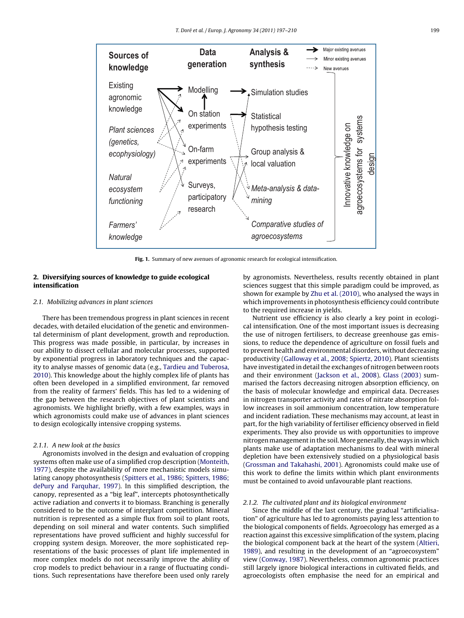<span id="page-2-0"></span>

**Fig. 1.** Summary of new avenues of agronomic research for ecological intensification.

# **2. Diversifying sources of knowledge to guide ecological intensification**

# 2.1. Mobilizing advances in plant sciences

There has been tremendous progress in plant sciences in recent decades, with detailed elucidation of the genetic and environmental determinism of plant development, growth and reproduction. This progress was made possible, in particular, by increases in our ability to dissect cellular and molecular processes, supported by exponential progress in laboratory techniques and the capacity to analyse masses of genomic data (e.g., [Tardieu and Tuberosa,](#page-13-0) [2010\).](#page-13-0) This knowledge about the highly complex life of plants has often been developed in a simplified environment, far removed from the reality of farmers' fields. This has led to a widening of the gap between the research objectives of plant scientists and agronomists. We highlight briefly, with a few examples, ways in which agronomists could make use of advances in plant sciences to design ecologically intensive cropping systems.

### 2.1.1. A new look at the basics

Agronomists involved in the design and evaluation of cropping systems often make use of a simplified crop description ([Monteith,](#page-12-0) [1977\),](#page-12-0) despite the availability of more mechanistic models simulating canopy photosynthesis ([Spitters et al., 1986; Spitters, 1986;](#page-13-0) [dePury and Farquhar, 1997\).](#page-13-0) In this simplified description, the canopy, represented as a "big leaf", intercepts photosynthetically active radiation and converts it to biomass. Branching is generally considered to be the outcome of interplant competition. Mineral nutrition is represented as a simple flux from soil to plant roots, depending on soil mineral and water contents. Such simplified representations have proved sufficient and highly successful for cropping system design. Moreover, the more sophisticated representations of the basic processes of plant life implemented in more complex models do not necessarily improve the ability of crop models to predict behaviour in a range of fluctuating conditions. Such representations have therefore been used only rarely

by agronomists. Nevertheless, results recently obtained in plant sciences suggest that this simple paradigm could be improved, as shown for example by [Zhu et al. \(2010\), w](#page-13-0)ho analysed the ways in which improvements in photosynthesis efficiency could contribute to the required increase in yields.

Nutrient use efficiency is also clearly a key point in ecological intensification. One of the most important issues is decreasing the use of nitrogen fertilisers, to decrease greenhouse gas emissions, to reduce the dependence of agriculture on fossil fuels and to prevent health and environmental disorders, without decreasing productivity ([Galloway et al., 2008; Spiertz, 2010\).](#page-12-0) Plant scientists have investigated in detail the exchanges of nitrogen between roots and their environment ([Jackson et al., 2008\).](#page-12-0) [Glass \(2003\)](#page-12-0) summarised the factors decreasing nitrogen absorption efficiency, on the basis of molecular knowledge and empirical data. Decreases in nitrogen transporter activity and rates of nitrate absorption follow increases in soil ammonium concentration, low temperature and incident radiation. These mechanisms may account, at least in part, for the high variability of fertiliser efficiency observed in field experiments. They also provide us with opportunities to improve nitrogenmanagement in the soil.More generally, the ways in which plants make use of adaptation mechanisms to deal with mineral depletion have been extensively studied on a physiological basis [\(Grossman and Takahashi, 2001\).](#page-12-0) Agronomists could make use of this work to define the limits within which plant environments must be contained to avoid unfavourable plant reactions.

#### 2.1.2. The cultivated plant and its biological environment

Since the middle of the last century, the gradual "artificialisation" of agriculture has led to agronomists paying less attention to the biological components of fields. Agroecology has emerged as a reaction against this excessive simplification of the system, placing the biological component back at the heart of the system [\(Altieri,](#page-11-0) [1989\),](#page-11-0) and resulting in the development of an "agroecosystem" view ([Conway, 1987\).](#page-11-0) Nevertheless, common agronomic practices still largely ignore biological interactions in cultivated fields, and agroecologists often emphasise the need for an empirical and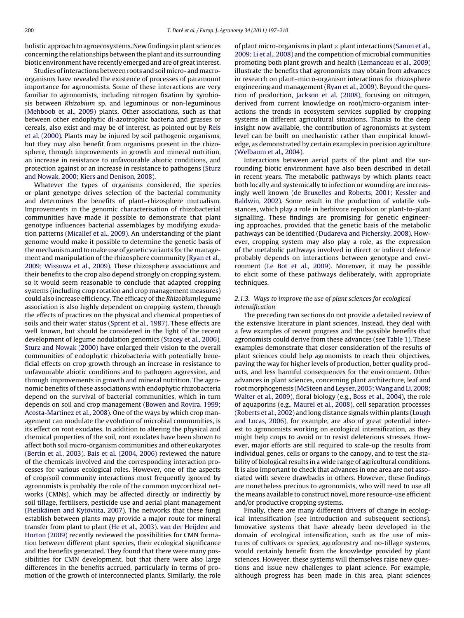holistic approach to agroecosystems. New findings in plant sciences concerning the relationships between the plant and its surrounding biotic environment have recently emerged and are of great interest.

Studies of interactions between roots and soil micro- and macroorganisms have revealed the existence of processes of paramount importance for agronomists. Some of these interactions are very familiar to agronomists, including nitrogen fixation by symbiosis between Rhizobium sp. and leguminous or non-leguminous ([Mehboob et al., 2009\)](#page-12-0) plants. Other associations, such as that between other endophytic di-azotrophic bacteria and grasses or cereals, also exist and may be of interest, as pointed out by [Reis](#page-12-0) [et al. \(2000\). P](#page-12-0)lants may be injured by soil pathogenic organisms, but they may also benefit from organisms present in the rhizosphere, through improvements in growth and mineral nutrition, an increase in resistance to unfavourable abiotic conditions, and protection against or an increase in resistance to pathogens ([Sturz](#page-13-0) [and Nowak, 2000; Kiers and Denison, 2008\).](#page-13-0)

Whatever the types of organisms considered, the species or plant genotype drives selection of the bacterial community and determines the benefits of plant–rhizosphere mutualism. Improvements in the genomic characterisation of rhizobacterial communities have made it possible to demonstrate that plant genotype influences bacterial assemblages by modifying exudation patterns ([Micallef et al., 2009\).](#page-12-0) An understanding of the plant genome would make it possible to determine the genetic basis of the mechanism and to make use of genetic variants for the management and manipulation of the rhizosphere community ([Ryan et al.,](#page-13-0) [2009; Wissuwa et al., 2009\).](#page-13-0) These rhizosphere associations and their benefits to the crop also depend strongly on cropping system, so it would seem reasonable to conclude that adapted cropping systems (including crop rotation and crop management measures) could also increase efficiency. The efficacy of the Rhizobium/legume association is also highly dependent on cropping system, through the effects of practices on the physical and chemical properties of soils and their water status [\(Sprent et al., 1987\).](#page-13-0) These effects are well known, but should be considered in the light of the recent development of legume nodulation genomics [\(Stacey et al., 2006\).](#page-13-0) [Sturz and Nowak \(2000\)](#page-13-0) have enlarged their vision to the overall communities of endophytic rhizobacteria with potentially beneficial effects on crop growth through an increase in resistance to unfavourable abiotic conditions and to pathogen aggression, and through improvements in growth and mineral nutrition. The agronomic benefits of these associations with endophytic rhizobacteria depend on the survival of bacterial communities, which in turn depends on soil and crop management ([Bowen and Rovira, 1999;](#page-11-0) [Acosta-Martinez et al., 2008\).](#page-11-0) One of the ways by which crop management can modulate the evolution of microbial communities, is its effect on root exudates. In addition to altering the physical and chemical properties of the soil, root exudates have been shown to affect both soil micro-organism communities and other eukaryotes ([Bertin et al., 2003\).](#page-11-0) [Bais et al. \(2004, 2006\)](#page-11-0) reviewed the nature of the chemicals involved and the corresponding interaction processes for various ecological roles. However, one of the aspects of crop/soil community interactions most frequently ignored by agronomists is probably the role of the common mycorrhizal networks (CMNs), which may be affected directly or indirectly by soil tillage, fertilisers, pesticide use and aerial plant management ([Pietikäinen and Kytöviita, 2007\).](#page-12-0) The networks that these fungi establish between plants may provide a major route for mineral transfer from plant to plant [\(He et al., 2003\).](#page-12-0) [van der Heijden and](#page-13-0) [Horton \(2009\)](#page-13-0) recently reviewed the possibilities for CMN formation between different plant species, their ecological significance and the benefits generated. They found that there were many possibilities for CMN development, but that there were also large differences in the benefits accrued, particularly in terms of promotion of the growth of interconnected plants. Similarly, the role

of plant micro-organisms in plant  $\times$  plant interactions [\(Sanon et al.,](#page-13-0) [2009; Li et al., 2008\)](#page-13-0) and the competition of microbial communities promoting both plant growth and health ([Lemanceau et al., 2009\)](#page-12-0) illustrate the benefits that agronomists may obtain from advances in research on plant–micro-organism interactions for rhizosphere engineering and management [\(Ryan et al., 2009\).](#page-13-0) Beyond the question of production, [Jackson et al. \(2008\),](#page-12-0) focusing on nitrogen, derived from current knowledge on root/micro-organism interactions the trends in ecosystem services supplied by cropping systems in different agricultural situations. Thanks to the deep insight now available, the contribution of agronomists at system level can be built on mechanistic rather than empirical knowledge, as demonstrated by certain examples in precision agriculture [\(Welbaum et al., 2004\).](#page-13-0)

Interactions between aerial parts of the plant and the surrounding biotic environment have also been described in detail in recent years. The metabolic pathways by which plants react both locally and systemically to infection or wounding are increasingly well known [\(de Bruxelles and Roberts, 2001; Kessler and](#page-11-0) [Baldwin, 2002\).](#page-11-0) Some result in the production of volatile substances, which play a role in herbivore repulsion or plant-to-plant signalling. These findings are promising for genetic engineering approaches, provided that the genetic basis of the metabolic pathways can be identified [\(Dudareva and Pichersky, 2008\).](#page-11-0) However, cropping system may also play a role, as the expression of the metabolic pathways involved in direct or indirect defence probably depends on interactions between genotype and environment ([Le Bot et al., 2009\).](#page-12-0) Moreover, it may be possible to elicit some of these pathways deliberately, with appropriate techniques.

# 2.1.3. Ways to improve the use of plant sciences for ecological intensification

The preceding two sections do not provide a detailed review of the extensive literature in plant sciences. Instead, they deal with a few examples of recent progress and the possible benefits that agronomists could derive from these advances (see [Table 1\).](#page-4-0) These examples demonstrate that closer consideration of the results of plant sciences could help agronomists to reach their objectives, paving the way for higher levels of production, better quality products, and less harmful consequences for the environment. Other advances in plant sciences, concerning plant architecture, leaf and root morphogenesis (McSteen and Leyser, 2005; Wang and Li, 2008; [Walter et al., 2009\),](#page-12-0) floral biology (e.g., [Boss et al., 2004\),](#page-11-0) the role of aquaporins (e.g., [Maurel et al., 2008\),](#page-12-0) cell separation processes [\(Roberts et al., 2002\) a](#page-13-0)nd long distance signals within plants ([Lough](#page-12-0) [and Lucas, 2006\),](#page-12-0) for example, are also of great potential interest to agronomists working on ecological intensification, as they might help crops to avoid or to resist deleterious stresses. However, major efforts are still required to scale-up the results from individual genes, cells or organs to the canopy, and to test the stability of biological results in a wide range of agricultural conditions. It is also important to check that advances in one area are not associated with severe drawbacks in others. However, these findings are nonetheless precious to agronomists, who will need to use all the means available to construct novel, more resource-use efficient and/or productive cropping systems.

Finally, there are many different drivers of change in ecological intensification (see introduction and subsequent sections). Innovative systems that have already been developed in the domain of ecological intensification, such as the use of mixtures of cultivars or species, agroforestry and no-tillage systems, would certainly benefit from the knowledge provided by plant sciences. However, these systems will themselves raise new questions and issue new challenges to plant science. For example, although progress has been made in this area, plant sciences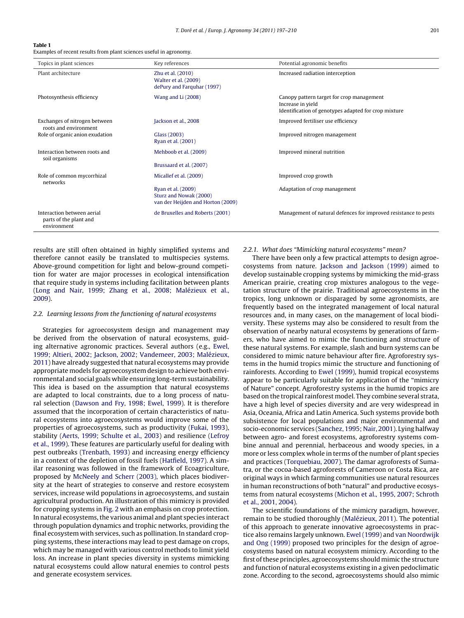#### <span id="page-4-0"></span>**Table 1**

Examples of recent results from plant sciences useful in agronomy.

| Topics in plant sciences                                            | Key references                                                                    | Potential agronomic benefits                                                                                           |
|---------------------------------------------------------------------|-----------------------------------------------------------------------------------|------------------------------------------------------------------------------------------------------------------------|
| Plant architecture                                                  | Zhu et al. (2010)<br>Walter et al. (2009)<br>dePury and Farquhar (1997)           | Increased radiation interception                                                                                       |
| Photosynthesis efficiency                                           | Wang and Li (2008)                                                                | Canopy pattern target for crop management<br>Increase in yield<br>Identification of genotypes adapted for crop mixture |
| Exchanges of nitrogen between<br>roots and environment              | Jackson et al., 2008                                                              | Improved fertiliser use efficiency                                                                                     |
| Role of organic anion exudation                                     | Glass (2003)<br>Ryan et al. (2001)                                                | Improved nitrogen management                                                                                           |
| Interaction between roots and<br>soil organisms                     | Mehboob et al. (2009)                                                             | Improved mineral nutrition                                                                                             |
|                                                                     | Brussaard et al. (2007)                                                           |                                                                                                                        |
| Role of common mycorrhizal<br>networks                              | Micallef et al. (2009)                                                            | Improved crop growth                                                                                                   |
|                                                                     | Ryan et al. (2009)<br>Sturz and Nowak (2000)<br>van der Heijden and Horton (2009) | Adaptation of crop management                                                                                          |
| Interaction between aerial<br>parts of the plant and<br>environment | de Bruxelles and Roberts (2001)                                                   | Management of natural defences for improved resistance to pests                                                        |

results are still often obtained in highly simplified systems and therefore cannot easily be translated to multispecies systems. Above-ground competition for light and below-ground competition for water are major processes in ecological intensification that require study in systems including facilitation between plants ([Long and Nair, 1999; Zhang et al., 2008; Malézieux et al.,](#page-12-0) [2009\).](#page-12-0)

# 2.2. Learning lessons from the functioning of natural ecosystems

Strategies for agroecosystem design and management may be derived from the observation of natural ecosystems, guiding alternative agronomic practices. Several authors (e.g., [Ewel,](#page-11-0) [1999; Altieri, 2002; Jackson, 2002; Vandemeer, 2003; Malézieux,](#page-11-0) [2011\) h](#page-11-0)ave already suggested that natural ecosystems may provide appropriate models for agroecosystem design to achieve both environmental and social goals while ensuring long-term sustainability. This idea is based on the assumption that natural ecosystems are adapted to local constraints, due to a long process of natural selection [\(Dawson and Fry, 1998; Ewel, 1999\).](#page-11-0) It is therefore assumed that the incorporation of certain characteristics of natural ecosystems into agroecosystems would improve some of the properties of agroecosystems, such as productivity ([Fukai, 1993\),](#page-11-0) stability ([Aerts, 1999; Schulte et al., 2003\)](#page-11-0) and resilience [\(Lefroy](#page-12-0) [et al., 1999\).](#page-12-0) These features are particularly useful for dealing with pest outbreaks [\(Trenbath, 1993\)](#page-13-0) and increasing energy efficiency in a context of the depletion of fossil fuels [\(Hatfield, 1997\).](#page-12-0) A similar reasoning was followed in the framework of Ecoagriculture, proposed by [McNeely and Scherr \(2003\), w](#page-12-0)hich places biodiversity at the heart of strategies to conserve and restore ecosystem services, increase wild populations in agroecosystems, and sustain agricultural production. An illustration of this mimicry is provided for cropping systems in [Fig. 2](#page-5-0) with an emphasis on crop protection. In natural ecosystems, the various animal and plant species interact through population dynamics and trophic networks, providing the final ecosystem with services, such as pollination. In standard cropping systems, these interactions may lead to pest damage on crops, which may be managed with various control methods to limit yield loss. An increase in plant species diversity in systems mimicking natural ecosystems could allow natural enemies to control pests and generate ecosystem services.

# 2.2.1. What does "Mimicking natural ecosystems" mean?

There have been only a few practical attempts to design agroecosystems from nature. [Jackson and Jackson \(1999\)](#page-12-0) aimed to develop sustainable cropping systems by mimicking the mid-grass American prairie, creating crop mixtures analogous to the vegetation structure of the prairie. Traditional agroecosystems in the tropics, long unknown or disparaged by some agronomists, are frequently based on the integrated management of local natural resources and, in many cases, on the management of local biodiversity. These systems may also be considered to result from the observation of nearby natural ecosystems by generations of farmers, who have aimed to mimic the functioning and structure of these natural systems. For example, slash and burn systems can be considered to mimic nature behaviour after fire. Agroforestry systems in the humid tropics mimic the structure and functioning of rainforests. According to [Ewel \(1999\), h](#page-11-0)umid tropical ecosystems appear to be particularly suitable for application of the "mimicry of Nature" concept. Agroforestry systems in the humid tropics are based on the tropical rainforest model. They combine several strata, have a high level of species diversity and are very widespread in Asia, Oceania, Africa and Latin America. Such systems provide both subsistence for local populations and major environmental and socio-economic services [\(Sanchez, 1995; Nair, 2001\).](#page-13-0) Lying halfway between agro- and forest ecosystems, agroforestry systems combine annual and perennial, herbaceous and woody species, in a more or less complex whole in terms of the number of plant species and practices [\(Torquebiau, 2007\).](#page-13-0) The damar agroforests of Sumatra, or the cocoa-based agroforests of Cameroon or Costa Rica, are original ways in which farming communities use natural resources in human reconstructions of both "natural" and productive ecosystems from natural ecosystems ([Michon et al., 1995, 2007; Schroth](#page-12-0) [et al., 2001, 2004\).](#page-12-0)

The scientific foundations of the mimicry paradigm, however, remain to be studied thoroughly [\(Malézieux, 2011\).](#page-12-0) The potential of this approach to generate innovative agroecosystems in practice also remains largely unknown. [Ewel \(1999\)](#page-11-0) and [van Noordwijk](#page-12-0) [and Ong \(1999\)](#page-12-0) proposed two principles for the design of agroecosystems based on natural ecosystem mimicry. According to the first of these principles, agroecosystems should mimic the structure and function of natural ecosystems existing in a given pedoclimatic zone. According to the second, agroecosystems should also mimic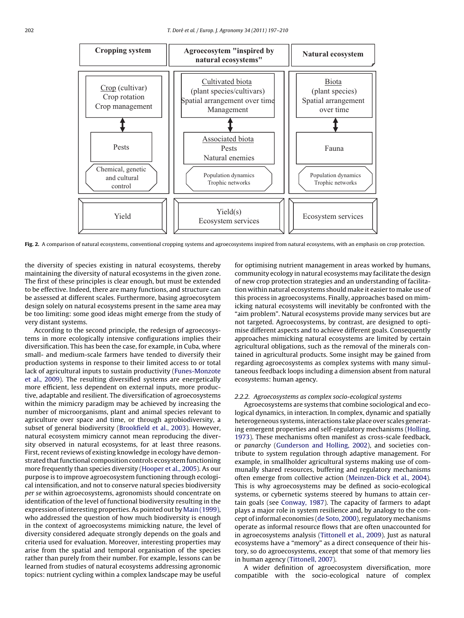<span id="page-5-0"></span>

Fig. 2. A comparison of natural ecosystems, conventional cropping systems and agroecosystems inspired from natural ecosystems, with an emphasis on crop protection.

the diversity of species existing in natural ecosystems, thereby maintaining the diversity of natural ecosystems in the given zone. The first of these principles is clear enough, but must be extended to be effective. Indeed, there are many functions, and structure can be assessed at different scales. Furthermore, basing agroecosytem design solely on natural ecosystems present in the same area may be too limiting: some good ideas might emerge from the study of very distant systems.

According to the second principle, the redesign of agroecosystems in more ecologically intensive configurations implies their diversification. This has been the case, for example, in Cuba, where small- and medium-scale farmers have tended to diversify their production systems in response to their limited access to or total lack of agricultural inputs to sustain productivity [\(Funes-Monzote](#page-11-0) [et al., 2009\).](#page-11-0) The resulting diversified systems are energetically more efficient, less dependent on external inputs, more productive, adaptable and resilient. The diversification of agroecosystems within the mimicry paradigm may be achieved by increasing the number of microorganisms, plant and animal species relevant to agriculture over space and time, or through agrobiodiversity, a subset of general biodiversity [\(Brookfield et al., 2003\).](#page-11-0) However, natural ecosystem mimicry cannot mean reproducing the diversity observed in natural ecosystems, for at least three reasons. First, recent reviews of existing knowledge in ecology have demonstrated that functional composition controls ecosystem functioning more frequently than species diversity [\(Hooper et al., 2005\).](#page-12-0) As our purpose is to improve agroecosystem functioning through ecological intensification, and not to conserve natural species biodiversity per se within agroecosystems, agronomists should concentrate on identification of the level of functional biodiversity resulting in the expression of interesting properties. As pointed out by [Main \(1999\),](#page-12-0) who addressed the question of how much biodiversity is enough in the context of agroecosystems mimicking nature, the level of diversity considered adequate strongly depends on the goals and criteria used for evaluation. Moreover, interesting properties may arise from the spatial and temporal organisation of the species rather than purely from their number. For example, lessons can be learned from studies of natural ecosystems addressing agronomic topics: nutrient cycling within a complex landscape may be useful for optimising nutrient management in areas worked by humans, community ecology in natural ecosystems may facilitate the design of new crop protection strategies and an understanding of facilitation within natural ecosystems should make it easier to make use of this process in agroecosystems. Finally, approaches based on mimicking natural ecosystems will inevitably be confronted with the "aim problem". Natural ecosystems provide many services but are not targeted. Agroecosystems, by contrast, are designed to optimise different aspects and to achieve different goals. Consequently approaches mimicking natural ecosystems are limited by certain agricultural obligations, such as the removal of the minerals contained in agricultural products. Some insight may be gained from regarding agroecosystems as complex systems with many simultaneous feedback loops including a dimension absent from natural ecosystems: human agency.

#### 2.2.2. Agroecosystems as complex socio-ecological systems

Agroecosystems are systems that combine sociological and ecological dynamics, in interaction. In complex, dynamic and spatially heterogeneous systems, interactions take place over scales generating emergent properties and self-regulatory mechanisms [\(Holling,](#page-12-0) [1973\).](#page-12-0) These mechanisms often manifest as cross-scale feedback, or panarchy ([Gunderson and Holling, 2002\),](#page-12-0) and societies contribute to system regulation through adaptive management. For example, in smallholder agricultural systems making use of communally shared resources, buffering and regulatory mechanisms often emerge from collective action ([Meinzen-Dick et al., 2004\).](#page-12-0) This is why agroecosystems may be defined as socio-ecological systems, or cybernetic systems steered by humans to attain certain goals (see [Conway, 1987\).](#page-11-0) The capacity of farmers to adapt plays a major role in system resilience and, by analogy to the concept of informal economies ([de Soto, 2000\),](#page-11-0) regulatory mechanisms operate as informal resource flows that are often unaccounted for in agroecosystems analysis ([Tittonell et al., 2009\).](#page-13-0) Just as natural ecosystems have a "memory" as a direct consequence of their history, so do agroecosystems, except that some of that memory lies in human agency ([Tittonell, 2007\).](#page-13-0)

A wider definition of agroecosystem diversification, more compatible with the socio-ecological nature of complex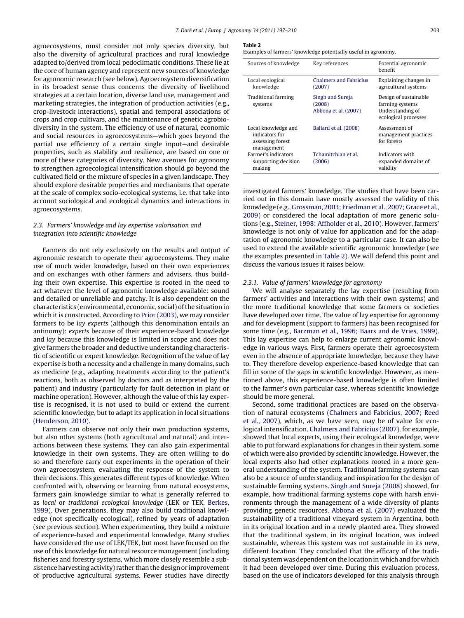agroecosystems, must consider not only species diversity, but also the diversity of agricultural practices and rural knowledge adapted to/derived from local pedoclimatic conditions. These lie at the core of human agency and represent new sources of knowledge for agronomic research (see below). Agroecosystem diversification in its broadest sense thus concerns the diversity of livelihood strategies at a certain location, diverse land use, management and marketing strategies, the integration of production activities (e.g., crop-livestock interactions), spatial and temporal associations of crops and crop cultivars, and the maintenance of genetic agrobiodiversity in the system. The efficiency of use of natural, economic and social resources in agroecosystems—which goes beyond the partial use efficiency of a certain single input—and desirable properties, such as stability and resilience, are based on one or more of these categories of diversity. New avenues for agronomy to strengthen agroecological intensification should go beyond the cultivated field or the mixture of species in a given landscape. They should explore desirable properties and mechanisms that operate at the scale of complex socio-ecological systems, i.e. that take into account sociological and ecological dynamics and interactions in agroecosystems.

# 2.3. Farmers' knowledge and lay expertise valorisation and integration into scientific knowledge

Farmers do not rely exclusively on the results and output of agronomic research to operate their agroecosystems. They make use of much wider knowledge, based on their own experiences and on exchanges with other farmers and advisers, thus building their own expertise. This expertise is rooted in the need to act whatever the level of agronomic knowledge available: sound and detailed or unreliable and patchy. It is also dependent on the characteristics (environmental, economic, social) of the situation in which it is constructed. According to [Prior \(2003\), w](#page-12-0)e may consider farmers to be lay experts (although this denomination entails an antinomy): experts because of their experience-based knowledge and lay because this knowledge is limited in scope and does not give farmers the broader and deductive understanding characteristic of scientific or expert knowledge. Recognition of the value of lay expertise is both a necessity and a challenge in many domains, such as medicine (e.g., adapting treatments according to the patient's reactions, both as observed by doctors and as interpreted by the patient) and industry (particularly for fault detection in plant or machine operation). However, although the value of this lay expertise is recognised, it is not used to build or extend the current scientific knowledge, but to adapt its application in local situations ([Henderson, 2010\).](#page-12-0)

Farmers can observe not only their own production systems, but also other systems (both agricultural and natural) and interactions between these systems. They can also gain experimental knowledge in their own systems. They are often willing to do so and therefore carry out experiments in the operation of their own agroecosystem, evaluating the response of the system to their decisions. This generates different types of knowledge. When confronted with, observing or learning from natural ecosystems, farmers gain knowledge similar to what is generally referred to as local or traditional ecological knowledge (LEK or TEK, [Berkes,](#page-11-0) [1999\).](#page-11-0) Over generations, they may also build traditional knowledge (not specifically ecological), refined by years of adaptation (see previous section). When experimenting, they build a mixture of experience-based and experimental knowledge. Many studies have considered the use of LEK/TEK, but most have focused on the use of this knowledge for natural resource management (including fisheries and forestry systems, which more closely resemble a subsistence harvesting activity) rather than the design or improvement of productive agricultural systems. Fewer studies have directly

# **Table 2**

Examples of farmers' knowledge potentially useful in agronomy.

| Sources of knowledge                                                    | Key references                                     | Potential agronomic<br>benefit                                                       |
|-------------------------------------------------------------------------|----------------------------------------------------|--------------------------------------------------------------------------------------|
| Local ecological<br>knowledge                                           | <b>Chalmers and Fabricius</b><br>(2007)            | Explaining changes in<br>agricultural systems                                        |
| Traditional farming<br>systems                                          | Singh and Sureja<br>(2008)<br>Abbona et al. (2007) | Design of sustainable<br>farming systems<br>Understanding of<br>ecological processes |
| Local knowledge and<br>indicators for<br>assessing forest<br>management | Ballard et al. (2008)                              | Assessment of<br>management practices<br>for forests                                 |
| Farmer's indicators<br>supporting decision<br>making                    | Tchamitchian et al.<br>(2006)                      | Indicators with<br>expanded domains of<br>validity                                   |

investigated farmers' knowledge. The studies that have been carried out in this domain have mostly assessed the validity of this knowledge (e.g., [Grossman, 2003; Friedman et al., 2007; Grace et al.,](#page-12-0) [2009\)](#page-12-0) or considered the local adaptation of more generic solutions (e.g., [Steiner, 1998; Affholder et al., 2010\).](#page-13-0) However, farmers' knowledge is not only of value for application and for the adaptation of agronomic knowledge to a particular case. It can also be used to extend the available scientific agronomic knowledge (see the examples presented in Table 2). We will defend this point and discuss the various issues it raises below.

## 2.3.1. Value of farmers' knowledge for agronomy

We will analyse separately the lay expertise (resulting from farmers' activities and interactions with their own systems) and the more traditional knowledge that some farmers or societies have developed over time. The value of lay expertise for agronomy and for development (support to farmers) has been recognised for some time (e.g., [Barzman et al., 1996; Baars and de Vries, 1999\).](#page-11-0) This lay expertise can help to enlarge current agronomic knowledge in various ways. First, farmers operate their agroecosystem even in the absence of appropriate knowledge, because they have to. They therefore develop experience-based knowledge that can fill in some of the gaps in scientific knowledge. However, as mentioned above, this experience-based knowledge is often limited to the farmer's own particular case, whereas scientific knowledge should be more general.

Second, some traditional practices are based on the observation of natural ecosystems ([Chalmers and Fabricius, 2007; Reed](#page-11-0) [et al., 2007\),](#page-11-0) which, as we have seen, may be of value for ecological intensification. [Chalmers and Fabricius \(2007\), f](#page-11-0)or example, showed that local experts, using their ecological knowledge, were able to put forward explanations for changes in their system, some of which were also provided by scientific knowledge. However, the local experts also had other explanations rooted in a more general understanding of the system. Traditional farming systems can also be a source of understanding and inspiration for the design of sustainable farming systems. [Singh and Sureja \(2008\)](#page-13-0) showed, for example, how traditional farming systems cope with harsh environments through the management of a wide diversity of plants providing genetic resources. [Abbona et al. \(2007\)](#page-11-0) evaluated the sustainability of a traditional vineyard system in Argentina, both in its original location and in a newly planted area. They showed that the traditional system, in its original location, was indeed sustainable, whereas this system was not sustainable in its new, different location. They concluded that the efficacy of the traditional system was dependent on the location in which and for which it had been developed over time. During this evaluation process, based on the use of indicators developed for this analysis through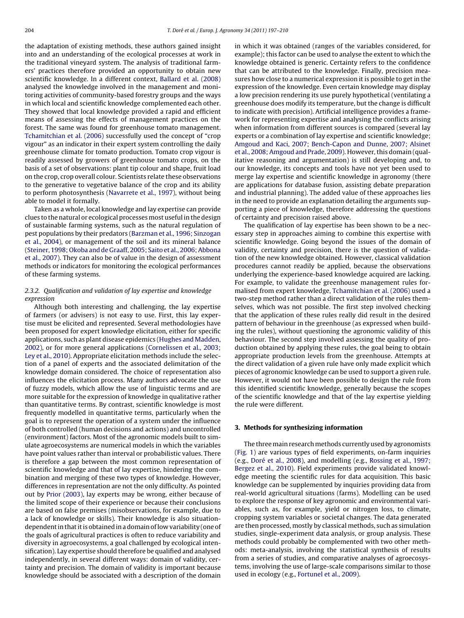the adaptation of existing methods, these authors gained insight into and an understanding of the ecological processes at work in the traditional vineyard system. The analysis of traditional farmers' practices therefore provided an opportunity to obtain new scientific knowledge. In a different context, [Ballard et al. \(2008\)](#page-11-0) analysed the knowledge involved in the management and monitoring activities of community-based forestry groups and the ways in which local and scientific knowledge complemented each other. They showed that local knowledge provided a rapid and efficient means of assessing the effects of management practices on the forest. The same was found for greenhouse tomato management. [Tchamitchian et al. \(2006\)](#page-13-0) successfully used the concept of "crop vigour" as an indicator in their expert system controlling the daily greenhouse climate for tomato production. Tomato crop vigour is readily assessed by growers of greenhouse tomato crops, on the basis of a set of observations: plant tip colour and shape, fruit load on the crop, crop overall colour. Scientists relate these observations to the generative to vegetative balance of the crop and its ability to perform photosynthesis [\(Navarrete et al., 1997\),](#page-12-0) without being able to model it formally.

Taken as a whole, local knowledge and lay expertise can provide clues to the natural or ecological processesmost useful in the design of sustainable farming systems, such as the natural regulation of pest populations by their predators ([Barzman et al., 1996; Sinzogan](#page-11-0) [et al., 2004\),](#page-11-0) or management of the soil and its mineral balance ([Steiner, 1998; Okoba and de Graaff, 2005; Saito et al., 2006; Abbona](#page-13-0) [et al., 2007\).](#page-13-0) They can also be of value in the design of assessment methods or indicators for monitoring the ecological performances of these farming systems.

# 2.3.2. Qualification and validation of lay expertise and knowledge expression

Although both interesting and challenging, the lay expertise of farmers (or advisers) is not easy to use. First, this lay expertise must be elicited and represented. Several methodologies have been proposed for expert knowledge elicitation, either for specific applications, such as plant disease epidemics [\(Hughes and Madden,](#page-12-0) [2002\),](#page-12-0) or for more general applications [\(Cornelissen et al., 2003;](#page-11-0) [Ley et al., 2010\).](#page-11-0) Appropriate elicitation methods include the selection of a panel of experts and the associated delimitation of the knowledge domain considered. The choice of representation also influences the elicitation process. Many authors advocate the use of fuzzy models, which allow the use of linguistic terms and are more suitable for the expression of knowledge in qualitative rather than quantitative terms. By contrast, scientific knowledge is most frequently modelled in quantitative terms, particularly when the goal is to represent the operation of a system under the influence of both controlled (human decisions and actions) and uncontrolled (environment) factors. Most of the agronomic models built to simulate agroecosystems are numerical models in which the variables have point values rather than interval or probabilistic values. There is therefore a gap between the most common representation of scientific knowledge and that of lay expertise, hindering the combination and merging of these two types of knowledge. However, differences in representation are not the only difficulty. As pointed out by [Prior \(2003\),](#page-12-0) lay experts may be wrong, either because of the limited scope of their experience or because their conclusions are based on false premises (misobservations, for example, due to a lack of knowledge or skills). Their knowledge is also situationdependent in that it is obtained in a domain of low variability (one of the goals of agricultural practices is often to reduce variability and diversity in agroecosystems, a goal challenged by ecological intensification). Lay expertise should therefore be qualified and analysed independently, in several different ways: domain of validity, certainty and precision. The domain of validity is important because knowledge should be associated with a description of the domain

in which it was obtained (ranges of the variables considered, for example); this factor can be used to analyse the extent to which the knowledge obtained is generic. Certainty refers to the confidence that can be attributed to the knowledge. Finally, precision measures how close to a numerical expression it is possible to get in the expression of the knowledge. Even certain knowledge may display a low precision rendering its use purely hypothetical (ventilating a greenhouse does modify its temperature, but the change is difficult to indicate with precision). Artificial intelligence provides a framework for representing expertise and analysing the conflicts arising when information from different sources is compared (several lay experts or a combination of lay expertise and scientific knowledge; [Amgoud and Kaci, 2007; Bench-Capon and Dunne, 2007; Alsinet](#page-11-0) [et al., 2008; Amgoud and Prade, 2009\).](#page-11-0) However, this domain (qualitative reasoning and argumentation) is still developing and, to our knowledge, its concepts and tools have not yet been used to merge lay expertise and scientific knowledge in agronomy (there are applications for database fusion, assisting debate preparation and industrial planning). The added value of these approaches lies in the need to provide an explanation detailing the arguments supporting a piece of knowledge, therefore addressing the questions of certainty and precision raised above.

The qualification of lay expertise has been shown to be a necessary step in approaches aiming to combine this expertise with scientific knowledge. Going beyond the issues of the domain of validity, certainty and precision, there is the question of validation of the new knowledge obtained. However, classical validation procedures cannot readily be applied, because the observations underlying the experience-based knowledge acquired are lacking. For example, to validate the greenhouse management rules formalised from expert knowledge, [Tchamitchian et al. \(2006\)](#page-13-0) used a two-step method rather than a direct validation of the rules themselves, which was not possible. The first step involved checking that the application of these rules really did result in the desired pattern of behaviour in the greenhouse (as expressed when building the rules), without questioning the agronomic validity of this behaviour. The second step involved assessing the quality of production obtained by applying these rules, the goal being to obtain appropriate production levels from the greenhouse. Attempts at the direct validation of a given rule have only made explicit which pieces of agronomic knowledge can be used to support a given rule. However, it would not have been possible to design the rule from this identified scientific knowledge, generally because the scopes of the scientific knowledge and that of the lay expertise yielding the rule were different.

### **3. Methods for synthesizing information**

The three main research methods currently used by agronomists [\(Fig. 1\)](#page-2-0) are various types of field experiments, on-farm inquiries (e.g., [Doré et al., 2008\),](#page-11-0) and modelling (e.g., [Rossing et al., 1997;](#page-13-0) [Bergez et al., 2010\).](#page-13-0) Field experiments provide validated knowledge meeting the scientific rules for data acquisition. This basic knowledge can be supplemented by inquiries providing data from real-world agricultural situations (farms). Modelling can be used to explore the response of key agronomic and environmental variables, such as, for example, yield or nitrogen loss, to climate, cropping system variables or societal changes. The data generated are then processed, mostly by classical methods, such as simulation studies, single-experiment data analysis, or group analysis. These methods could probably be complemented with two other methods: meta-analysis, involving the statistical synthesis of results from a series of studies, and comparative analyses of agroecosystems, involving the use of large-scale comparisons similar to those used in ecology (e.g., [Fortunel et al., 2009\).](#page-11-0)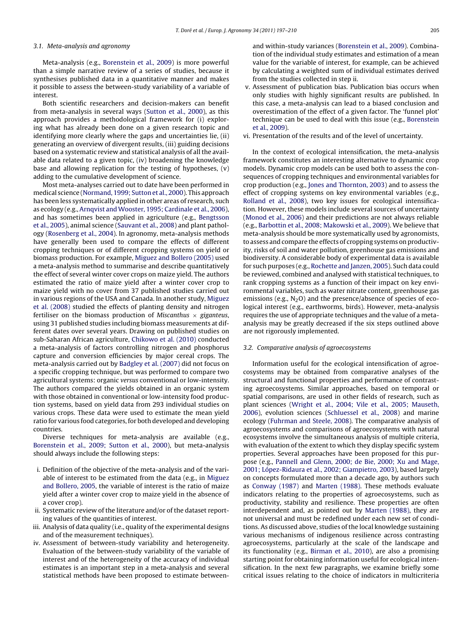#### 3.1. Meta-analysis and agronomy

Meta-analysis (e.g., [Borenstein et al., 2009\)](#page-11-0) is more powerful than a simple narrative review of a series of studies, because it synthesises published data in a quantitative manner and makes it possible to assess the between-study variability of a variable of interest.

Both scientific researchers and decision-makers can benefit from meta-analysis in several ways [\(Sutton et al., 2000\),](#page-13-0) as this approach provides a methodological framework for (i) exploring what has already been done on a given research topic and identifying more clearly where the gaps and uncertainties lie, (ii) generating an overview of divergent results, (iii) guiding decisions based on a systematic review and statistical analysis of all the available data related to a given topic, (iv) broadening the knowledge base and allowing replication for the testing of hypotheses, (v) adding to the cumulative development of science.

Most meta-analyses carried out to date have been performed in medical science [\(Normand, 1999; Sutton et al., 2000\).](#page-12-0) This approach has been less systematically applied in other areas of research, such as ecology (e.g., [Arnqvist and Wooster, 1995; Cardinale et al., 2006\),](#page-11-0) and has sometimes been applied in agriculture (e.g., [Bengtsson](#page-11-0) [et al., 2005\),](#page-11-0) animal science ([Sauvant et al., 2008\) a](#page-13-0)nd plant pathology ([Rosenberg et al., 2004\).](#page-13-0) In agronomy, meta-analysis methods have generally been used to compare the effects of different cropping techniques or of different cropping systems on yield or biomass production. For example, [Miguez and Bollero \(2005\)](#page-12-0) used a meta-analysis method to summarise and describe quantitatively the effect of several winter cover crops on maize yield. The authors estimated the ratio of maize yield after a winter cover crop to maize yield with no cover from 37 published studies carried out in various regions of the USA and Canada. In another study, [Miguez](#page-12-0) [et al. \(2008\)](#page-12-0) studied the effects of planting density and nitrogen fertiliser on the biomass production of Miscanthus  $\times$  giganteus, using 31 published studies including biomass measurements at different dates over several years. Drawing on published studies on sub-Saharan African agriculture, [Chikowo et al. \(2010\)](#page-11-0) conducted a meta-analysis of factors controlling nitrogen and phosphorus capture and conversion efficiencies by major cereal crops. The meta-analysis carried out by [Badgley et al. \(2007\)](#page-11-0) did not focus on a specific cropping technique, but was performed to compare two agricultural systems: organic versus conventional or low-intensity. The authors compared the yields obtained in an organic system with those obtained in conventional or low-intensity food production systems, based on yield data from 293 individual studies on various crops. These data were used to estimate the mean yield ratio for various food categories, for both developed and developing countries.

Diverse techniques for meta-analysis are available (e.g., [Borenstein et al., 2009; Sutton et al., 2000\),](#page-11-0) but meta-analysis should always include the following steps:

- i. Definition of the objective of the meta-analysis and of the variable of interest to be estimated from the data (e.g., in [Miguez](#page-12-0) [and Bollero, 2005, t](#page-12-0)he variable of interest is the ratio of maize yield after a winter cover crop to maize yield in the absence of a cover crop).
- ii. Systematic review of the literature and/or of the dataset reporting values of the quantities of interest.
- iii. Analysis of data quality (i.e., quality of the experimental designs and of the measurement techniques).
- iv. Assessment of between-study variability and heterogeneity. Evaluation of the between-study variability of the variable of interest and of the heterogeneity of the accuracy of individual estimates is an important step in a meta-analysis and several statistical methods have been proposed to estimate between-

and within-study variances [\(Borenstein et al., 2009\).](#page-11-0) Combination of the individual study estimates and estimation of a mean value for the variable of interest, for example, can be achieved by calculating a weighted sum of individual estimates derived from the studies collected in step ii.

- v. Assessment of publication bias. Publication bias occurs when only studies with highly significant results are published. In this case, a meta-analysis can lead to a biased conclusion and overestimation of the effect of a given factor. The 'funnel plot' technique can be used to deal with this issue (e.g., [Borenstein](#page-11-0) [et al., 2009\).](#page-11-0)
- vi. Presentation of the results and of the level of uncertainty.

In the context of ecological intensification, the meta-analysis framework constitutes an interesting alternative to dynamic crop models. Dynamic crop models can be used both to assess the consequences of cropping techniques and environmental variables for crop production (e.g., [Jones and Thornton, 2003\)](#page-12-0) and to assess the effect of cropping systems on key environmental variables (e.g., [Rolland et al., 2008\),](#page-13-0) two key issues for ecological intensification. However, these models include several sources of uncertainty [\(Monod et al., 2006\)](#page-12-0) and their predictions are not always reliable (e.g., [Barbottin et al., 2008; Makowski et al., 2009\).](#page-11-0) We believe that meta-analysis should be more systematically used by agronomists, to assess and compare the effects of cropping systems on productivity, risks of soil and water pollution, greenhouse gas emissions and biodiversity. A considerable body of experimental data is available for such purposes (e.g., [Rochette and Janzen, 2005\).](#page-13-0) Such data could be reviewed, combined and analysed with statistical techniques, to rank cropping systems as a function of their impact on key environmental variables, such as water nitrate content, greenhouse gas emissions (e.g.,  $N_2O$ ) and the presence/absence of species of ecological interest (e.g., earthworms, birds). However, meta-analysis requires the use of appropriate techniques and the value of a metaanalysis may be greatly decreased if the six steps outlined above are not rigorously implemented.

# 3.2. Comparative analysis of agroecosystems

Information useful for the ecological intensification of agroecosystems may be obtained from comparative analyses of the structural and functional properties and performance of contrasting agroecosystems. Similar approaches, based on temporal or spatial comparisons, are used in other fields of research, such as plant sciences ([Wright et al., 2004; Vile et al., 2005; Mauseth,](#page-13-0) [2006\),](#page-13-0) evolution sciences ([Schluessel et al., 2008\)](#page-13-0) and marine ecology [\(Fuhrman and Steele, 2008\).](#page-11-0) The comparative analysis of agroecosystems and comparisons of agroecosystems with natural ecosystems involve the simultaneous analysis of multiple criteria, with evaluation of the extent to which they display specific system properties. Several approaches have been proposed for this purpose (e.g., [Pannell and Glenn, 2000; de Bie, 2000; Xu and Mage,](#page-12-0) [2001; López-Ridaura et al., 2002; Giampietro, 2003\),](#page-12-0) based largely on concepts formulated more than a decade ago, by authors such as [Conway \(1987\)](#page-11-0) and [Marten \(1988\).](#page-12-0) These methods evaluate indicators relating to the properties of agroecosystems, such as productivity, stability and resilience. These properties are often interdependent and, as pointed out by [Marten \(1988\),](#page-12-0) they are not universal and must be redefined under each new set of conditions. As discussed above, studies of the local knowledge sustaining various mechanisms of indigenous resilience across contrasting agroecosystems, particularly at the scale of the landscape and its functionality (e.g., [Birman et al., 2010\),](#page-11-0) are also a promising starting point for obtaining information useful for ecological intensification. In the next few paragraphs, we examine briefly some critical issues relating to the choice of indicators in multicriteria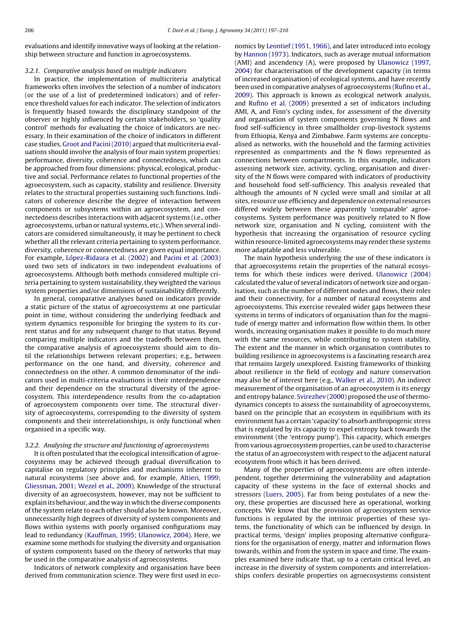evaluations and identify innovative ways of looking at the relationship between structure and function in agroecosystems.

## 3.2.1. Comparative analysis based on multiple indicators

In practice, the implementation of multicriteria analytical frameworks often involves the selection of a number of indicators (or the use of a list of predetermined indicators) and of reference threshold values for each indicator. The selection of indicators is frequently biased towards the disciplinary standpoint of the observer or highly influenced by certain stakeholders, so 'quality control' methods for evaluating the choice of indicators are necessary. In their examination of the choice of indicators in different case studies, [Groot and Pacini \(2010\)](#page-12-0) argued that multicriteria evaluations should involve the analysis of four main system properties: performance, diversity, coherence and connectedness, which can be approached from four dimensions: physical, ecological, productive and social. Performance relates to functional properties of the agroecosystem, such as capacity, stability and resilience. Diversity relates to the structural properties sustaining such functions. Indicators of coherence describe the degree of interaction between components or subsystems within an agroecosystem, and connectedness describes interactions with adjacent systems (i.e., other agroecosystems, urban or natural systems, etc.).When several indicators are considered simultaneously, it may be pertinent to check whether all the relevant criteria pertaining to system performance, diversity, coherence or connectedness are given equal importance. For example, [López-Ridaura et al. \(2002\)](#page-12-0) and [Pacini et al. \(2003\)](#page-12-0) used two sets of indicators in two independent evaluations of agroecosystems. Although both methods considered multiple criteria pertaining to system sustainability, they weighted the various system properties and/or dimensions of sustainability differently.

In general, comparative analyses based on indicators provide a static picture of the status of agroecosystems at one particular point in time, without considering the underlying feedback and system dynamics responsible for bringing the system to its current status and for any subsequent change to that status. Beyond comparing multiple indicators and the tradeoffs between them, the comparative analysis of agroecosystems should aim to distil the relationships between relevant properties; e.g., between performance on the one hand, and diversity, coherence and connectedness on the other. A common denominator of the indicators used in multi-criteria evaluations is their interdependence and their dependence on the structural diversity of the agroecosystem. This interdependence results from the co-adaptation of agroecosystem components over time. The structural diversity of agroecosystems, corresponding to the diversity of system components and their interrelationships, is only functional when organised in a specific way.

# 3.2.2. Analysing the structure and functioning of agroecosystems

It is often postulated that the ecological intensification of agroecosystems may be achieved through gradual diversification to capitalise on regulatory principles and mechanisms inherent to natural ecosystems (see above and, for example, [Altieri, 1999;](#page-11-0) [Gliessman, 2001; Wezel et al., 2009\).](#page-11-0) Knowledge of the structural diversity of an agroecosystem, however, may not be sufficient to explain its behaviour, and the way in which the diverse components of the system relate to each other should also be known. Moreover, unnecessarily high degrees of diversity of system components and flows within systems with poorly organised configurations may lead to redundancy ([Kauffman, 1995; Ulanowicz, 2004\).](#page-12-0) Here, we examine some methods for studying the diversity and organisation of system components based on the theory of networks that may be used in the comparative analysis of agroecosystems.

Indicators of network complexity and organisation have been derived from communication science. They were first used in economics by [Leontief \(1951, 1966\), a](#page-12-0)nd later introduced into ecology by [Hannon \(1973\). I](#page-12-0)ndicators, such as average mutual information (AMI) and ascendency (A), were proposed by [Ulanowicz \(1997,](#page-13-0) [2004\)](#page-13-0) for characterisation of the development capacity (in terms of increased organisation) of ecological systems, and have recently been used in comparative analyses of agroecosystems ([Rufino et al.,](#page-13-0) [2009\).](#page-13-0) This approach is known as ecological network analysis, and [Rufino et al. \(2009\)](#page-13-0) presented a set of indicators including AMI, A, and Finn's cycling index, for assessment of the diversity and organisation of system components governing N flows and food self-sufficiency in three smallholder crop-livestock systems from Ethiopia, Kenya and Zimbabwe. Farm systems are conceptualised as networks, with the household and the farming activities represented as compartments and the N flows represented as connections between compartments. In this example, indicators assessing network size, activity, cycling, organisation and diversity of the N flows were compared with indicators of productivity and household food self-sufficiency. This analysis revealed that although the amounts of N cycled were small and similar at all sites, resource use efficiency and dependence on external resources differed widely between these apparently 'comparable' agroecosystems. System performance was positively related to N flow network size, organisation and N cycling, consistent with the hypothesis that increasing the organisation of resource cycling within resource-limited agroecosystems may render these systems more adaptable and less vulnerable.

The main hypothesis underlying the use of these indicators is that agroecosystems retain the properties of the natural ecosystems for which these indices were derived. [Ulanowicz \(2004\)](#page-13-0) calculated the value of several indicators of network size and organisation, such as the number of different nodes and flows, their roles and their connectivity, for a number of natural ecosystems and agroecosystems. This exercise revealed wider gaps between these systems in terms of indicators of organisation than for the magnitude of energy matter and information flow within them. In other words, increasing organisation makes it possible to do much more with the same resources, while contributing to system stability. The extent and the manner in which organisation contributes to building resilience in agroecosystems is a fascinating research area that remains largely unexplored. Existing frameworks of thinking about resilience in the field of ecology and nature conservation may also be of interest here (e.g., [Walker et al., 2010\).](#page-13-0) An indirect measurement of the organisation of an agroecosystem is its energy and entropy balance. [Svirezhev \(2000\)](#page-13-0) proposed the use of thermodynamics concepts to assess the sustainability of agroecosystems, based on the principle that an ecosystem in equilibrium with its environment has a certain 'capacity' to absorb anthropogenic stress that is regulated by its capacity to expel entropy back towards the environment (the 'entropy pump'). This capacity, which emerges from various agroecosystem properties, can be used to characterise the status of an agroecosystem with respect to the adjacent natural ecosystem from which it has been derived.

Many of the properties of agroecosystems are often interdependent, together determining the vulnerability and adaptation capacity of these systems in the face of external shocks and stressors ([Luers, 2005\).](#page-12-0) Far from being postulates of a new theory, these properties are discussed here as operational, working concepts. We know that the provision of agroecosystem service functions is regulated by the intrinsic properties of these systems, the functionality of which can be influenced by design. In practical terms, 'design' implies proposing alternative configurations for the organisation of energy, matter and information flows towards, within and from the system in space and time. The examples examined here indicate that, up to a certain critical level, an increase in the diversity of system components and interrelationships confers desirable properties on agroecosystems consistent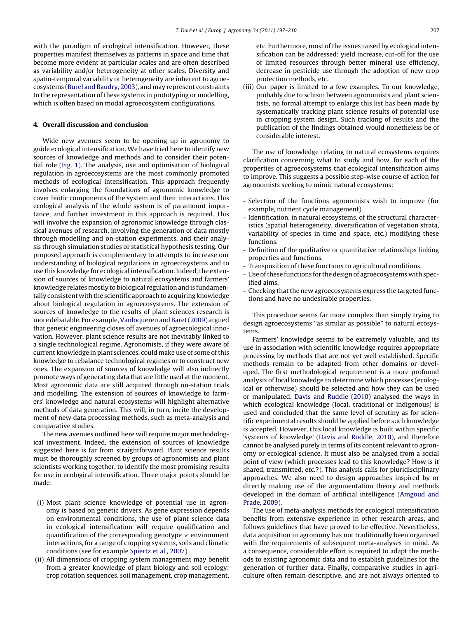with the paradigm of ecological intensification. However, these properties manifest themselves as patterns in space and time that become more evident at particular scales and are often described as variability and/or heterogeneity at other scales. Diversity and spatio-temporal variability or heterogeneity are inherent to agroecosystems ([Burel and Baudry, 2003\),](#page-11-0) and may represent constraints to the representation of these systems in prototyping or modelling, which is often based on modal agroecosystem configurations.

#### **4. Overall discussion and conclusion**

Wide new avenues seem to be opening up in agronomy to guide ecological intensification. We have tried here to identify new sources of knowledge and methods and to consider their potential role [\(Fig. 1\).](#page-2-0) The analysis, use and optimisation of biological regulation in agroecosystems are the most commonly promoted methods of ecological intensification. This approach frequently involves enlarging the foundations of agronomic knowledge to cover biotic components of the system and their interactions. This ecological analysis of the whole system is of paramount importance, and further investment in this approach is required. This will involve the expansion of agronomic knowledge through classical avenues of research, involving the generation of data mostly through modelling and on-station experiments, and their analysis through simulation studies or statistical hypothesis testing. Our proposed approach is complementary to attempts to increase our understanding of biological regulations in agroecosystems and to use this knowledge for ecological intensification. Indeed, the extension of sources of knowledge to natural ecosystems and farmers' knowledge relates mostly to biological regulation and is fundamentally consistent with the scientific approach to acquiring knowledge about biological regulation in agroecosystems. The extension of sources of knowledge to the results of plant sciences research is more debatable. For example,[Vanloqueren and Baret \(2009\)](#page-13-0) argued that genetic engineering closes off avenues of agroecological innovation. However, plant science results are not inevitably linked to a single technological regime. Agronomists, if they were aware of current knowledge in plant sciences, could make use of some of this knowledge to rebalance technological regimes or to construct new ones. The expansion of sources of knowledge will also indirectly promote ways of generating data that are little used at the moment. Most agronomic data are still acquired through on-station trials and modelling. The extension of sources of knowledge to farmers' knowledge and natural ecosystems will highlight alternative methods of data generation. This will, in turn, incite the development of new data processing methods, such as meta-analysis and comparative studies.

The new avenues outlined here will require major methodological investment. Indeed, the extension of sources of knowledge suggested here is far from straightforward. Plant science results must be thoroughly screened by groups of agronomists and plant scientists working together, to identify the most promising results for use in ecological intensification. Three major points should be made:

- (i) Most plant science knowledge of potential use in agronomy is based on genetic drivers. As gene expression depends on environmental conditions, the use of plant science data in ecological intensification will require qualification and quantification of the corresponding genotype  $\times$  environment interactions, for a range of cropping systems, soils and climatic conditions (see for example [Spiertz et al., 2007\).](#page-13-0)
- (ii) All dimensions of cropping system management may benefit from a greater knowledge of plant biology and soil ecology: crop rotation sequences, soil management, crop management,

etc. Furthermore, most of the issues raised by ecological intensification can be addressed: yield increase, cut-off for the use of limited resources through better mineral use efficiency, decrease in pesticide use through the adoption of new crop protection methods, etc.

(iii) Our paper is limited to a few examples. To our knowledge, probably due to schism between agronomists and plant scientists, no formal attempt to enlarge this list has been made by systematically tracking plant science results of potential use in cropping system design. Such tracking of results and the publication of the findings obtained would nonetheless be of considerable interest.

The use of knowledge relating to natural ecosystems requires clarification concerning what to study and how, for each of the properties of agroecosystems that ecological intensification aims to improve. This suggests a possible step-wise course of action for agronomists seeking to mimic natural ecosystems:

- Selection of the functions agronomists wish to improve (for example, nutrient cycle management).
- Identification, in natural ecosystems, of the structural characteristics (spatial heterogeneity, diversification of vegetation strata, variability of species in time and space, etc.) modifying these functions.
- Definition of the qualitative or quantitative relationships linking properties and functions.
- Transposition of these functions to agricultural conditions.
- Use of these functions for the design of agroecosystems with specified aims.
- Checking that the new agroecosystems express the targeted functions and have no undesirable properties.

This procedure seems far more complex than simply trying to design agroecosystems "as similar as possible" to natural ecosystems.

Farmers' knowledge seems to be extremely valuable, and its use in association with scientific knowledge requires appropriate processing by methods that are not yet well established. Specific methods remain to be adapted from other domains or developed. The first methodological requirement is a more profound analysis of local knowledge to determine which processes (ecological or otherwise) should be selected and how they can be used or manipulated. [Davis and Ruddle \(2010\)](#page-11-0) analysed the ways in which ecological knowledge (local, traditional or indigenous) is used and concluded that the same level of scrutiny as for scientific experimental results should be applied before such knowledge is accepted. However, this local knowledge is built within specific 'systems of knowledge' [\(Davis and Ruddle, 2010\),](#page-11-0) and therefore cannot be analysed purely in terms of its content relevant to agronomy or ecological science. It must also be analysed from a social point of view (which processes lead to this knowledge? How is it shared, transmitted, etc.?). This analysis calls for pluridisciplinary approaches. We also need to design approaches inspired by or directly making use of the argumentation theory and methods developed in the domain of artificial intelligence ([Amgoud and](#page-11-0) [Prade, 2009\).](#page-11-0)

The use of meta-analysis methods for ecological intensification benefits from extensive experience in other research areas, and follows guidelines that have proved to be effective. Nevertheless, data acquisition in agronomy has not traditionally been organised with the requirements of subsequent meta-analyses in mind. As a consequence, considerable effort is required to adapt the methods to existing agronomic data and to establish guidelines for the generation of further data. Finally, comparative studies in agriculture often remain descriptive, and are not always oriented to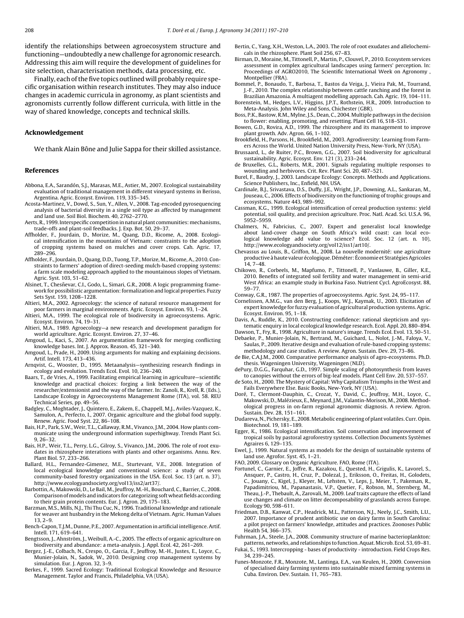<span id="page-11-0"></span>identify the relationships between agroecosystem structure and functioning—undoubtedly a new challenge for agronomic research. Addressing this aim will require the development of guidelines for site selection, characterisation methods, data processing, etc.

Finally, each of the five topics outlined will probably require specific organisation within research institutes. They may also induce changes in academic curricula in agronomy, as plant scientists and agronomists currently follow different curricula, with little in the way of shared knowledge, concepts and technical skills.

#### **Acknowledgement**

We thank Alain Bône and Julie Sappa for their skilled assistance.

## **References**

- Abbona, E.A., Sarandón, S.J., Marasas, M.E., Astier, M., 2007. Ecological sustainability evaluation of traditional management in different vineyard systems in Berisso, Argentina. Agric. Ecosyst. Environ. 119, 335–345.
- Acosta-Martinez, V., Dowd, S., Sun, Y., Allen, V., 2008. Tag-encoded pyrosequencing analysis of bacterial diversity in a single soil type as affected by management and land use. Soil Biol. Biochem. 40, 2762–2770.
- Aerts, R., 1999. Interspecific competition in natural plant communities: mechanisms, trade-offs and plant-soil feedbacks. J. Exp. Bot. 50, 29–37.
- Affholder, F., Jourdain, D., Morize, M., Quang, D.D., Ricome, A., 2008. Ecological intensification in the mountains of Vietnam: constraints to the adoption of cropping systems based on mulches and cover crops. Cah. Agric. 17, 289–296.
- Affholder, F., Jourdain, D., Quang, D.D., Tuong, T.P., Morize, M., Ricome, A., 2010. Constraints to farmers' adoption of direct-seeding mulch-based cropping systems: a farm scale modeling approach applied to the mountainous slopes of Vietnam. Agric. Syst. 103, 51–62.
- Alsinet, T., Chesñevar, C.I., Godo, L., Simari, G.R., 2008. A logic programming framework for possibilistic argumentation: formalization and logical properties. Fuzzy Sets Syst. 159, 1208–1228.
- Altieri, M.A., 2002. Agroecology: the science of natural resource management for poor farmers in marginal environments. Agric. Ecosyst. Environ. 93, 1–24.
- Altieri, M.A., 1999. The ecological role of biodiversity in agroecosystems. Agric. Ecosyst. Environ. 74, 19–31.
- Altieri, M.A., 1989. Agroecology—a new research and development paradigm for world agriculture. Agric. Ecosyst. Environ. 27, 37–46.
- Amgoud, L., Kaci, S., 2007. An argumentation framework for merging conflicting knowledge bases. Int. J. Approx. Reason. 45, 321–340.
- Amgoud, L., Prade, H., 2009. Using arguments for making and explaining decisions. Artif. Intell. 173, 413–436.
- Arnqvist, G., Wooster, D., 1995. Metaanalysis—synthesizing research findings in ecology and evolution. Trends Ecol. Evol. 10, 236–240.
- Baars, T., de Vries, A., 1999. Facilitating empirical learning in agriculture—scientific knowledge and practical choices: forging a link between the way of the researcher/extensionist and the way of the farmer. In: Zanoli, R., Krell, R. (Eds.), Landscape Ecology in Agroecosystems Management Rome (ITA), vol. 58. REU Technical Series, pp. 49–56.
- Badgley, C., Moghtader, J., Quintero, E., Zakem, E., Chappell, M.J., Aviles-Vazquez, K., Samulon, A., Perfecto, I., 2007. Organic agriculture and the global food supply. Renew. Agric. Food Syst. 22, 86–108.
- Bais, H.P., Park, S.W., Weir, T.L., Callaway, R.M., Vivanco, J.M., 2004. How plants communicate using the underground information superhighway. Trends Plant Sci. 9, 26–32.
- Bais, H.P., Weir, T.L., Perry, L.G., Gilroy, S., Vivanco, J.M., 2006. The role of root exudates in rhizosphere interations with plants and other organisms. Annu. Rev. Plant Biol. 57, 233–266.
- Ballard, H.L., Fernandez-Gimenez, M.E., Sturtevant, V.E., 2008. Integration of local ecological knowledge and conventional science: a study of seven community-based forestry organizations in the USA. Ecol. Soc. 13 (art. n. 37), http://www.ecologyandsociety.org/vol13/iss2/art37/.
- Barbottin, A., Makowski, D., Le Bail, M., Jeuffroy, M.-H., Bouchard, C., Barrier, C., 2008. Comparison ofmodels and indicators for categorizing soft wheat fields according to their grain protein contents. Eur. J. Agron. 29, 175–183.
- Barzman, M.S., Mills, N.J., Thi Thu Cuc, N., 1996. Traditional knowledge and rationale for weaver ant husbandry in the Mekong delta of Vietnam. Agric. Human Values 13, 2–9.
- Bench-Capon, T.J.M., Dunne, P.E., 2007. Argumentation in artificial intelligence. Artif. Intell. 171, 619–641.
- Bengtsson, J., Ahnström, J., Weibull, A.-C., 2005. The effects of organic agriculture on biodiversity and abundance: a meta-analysis. J. Appl. Ecol. 42, 261–269.
- Bergez, J.-E., Colbach, N., Crespo, O., Garcia, F., Jeuffroy, M.-H., Justes, E., Loyce, C., Munier-Jolain, N., Sadok, W., 2010. Designing crop management systems by simulation. Eur. J. Agron. 32, 3–9.
- Berkes, F., 1999. Sacred Ecology: Traditional Ecological Knowledge and Resource Management. Taylor and Francis, Philadelphia, VA (USA).
- Bertin, C., Yang, X.H., Weston, L.A., 2003. The role of root exudates and allelochemicals in the rhizosphere. Plant Soil 256, 67–83.
- Birman, D., Moraine, M., Tittonell, P., Martin, P., Clouvel, P., 2010. Ecosystem services assessment in complex agricultural landscapes using farmers' perception. In: Proceedings of AGRO2010, The Scientific International Week on Agronomy , Montpellier (FRA).

Bommel, P., Bonaudo, T., Barbosa, T., Bastos da Veiga, J., Vieira Pak, M., Tourrand, J.-F., 2010. The complex relationship between cattle ranching and the forest in Brazilian Amazonia. A multiagent modelling approach. Cah. Agric. 19, 104–111.

- Borenstein, M., Hedges, L.V., Higgins, J.P.T., Rothstein, H.R., 2009. Introduction to Meta-Analysis. John Wiley and Sons, Chichester (GBR).
- Boss, P.K., Bastow, R.M., Mylne, J.S., Dean, C., 2004. Multiple pathways in the decision to flower: enabling, promoting, and resetting. Plant Cell 16, S18–S31.
- Bowen, G.D., Rovira, A.D., 1999. The rhizosphere and its management to improve plant growth. Adv. Agron. 66, 1–102.
- Brookfield, H., Parsons, H., Brookfield, M., 2003. Agrodiversity: Learning from Farmers Across the World. United Nation University Press, New-York, NY (USA).
- Brussaard, L., de Ruiter, P.C., Brown, G.G., 2007. Soil biodiversity for agricultural sustainability. Agric. Ecosyst. Env. 121 (3), 233–244.
- de Bruxelles, G.L., Roberts, M.R., 2001. Signals regulating multiple responses to wounding and herbivores. Crit. Rev. Plant Sci. 20, 487–521.
- Burel, F., Baudry, J., 2003. Landscape Ecology: Concepts. Methods and Applications. Science Publishers, Inc., Enfield, NH, USA.
- Cardinale, B.J., Srivastava, D.S., Duffy, J.E., Wright, J.P., Downing, A.L., Sankaran, M., Jouseau, C., 2006. Effects of biodiversity on the functioning of trophic groups and ecosystems. Nature 443, 989–992.
- Cassman, K.G., 1999. Ecological intensification of cereal production systems: yield potential, soil quality, and precision agriculture. Proc. Natl. Acad. Sci. U.S.A. 96, 5952–5959.
- Chalmers, N., Fabricius, C., 2007. Expert and generalist local knowledge about land-cover change on South Africa's wild coast: can local ecological knowledge add value to science? Ecol. Soc. 12 (art. n. 10), http://www.ecologyandsociety.org/vol12/iss1/art10/.
- Chevassus au Louis, B., Griffon, M., 2008. La nouvelle modernité: une agriculture productive à haute valeur écologique. Déméter: Économie et Stratégies Agricoles 14, 7–48.
- Chikowo, R., Corbeels, M., Mapfumo, P., Tittonell, P., Vanlauwe, B., Giller, K.E., 2010. Benefits of integrated soil fertility and water management in semi-arid West Africa: an example study in Burkina Faso. Nutrient Cycl. AgroEcosyst. 88, 59–77.

Conway, G.R., 1987. The properties of agroecosystems. Agric. Syst. 24, 95–117.

Cornelissen, A.M.G., van den Berg, J., Koops, W.J., Kaymak, U., 2003. Elicitation of expert knowledge for fuzzy evaluation of agricultural production systems. Agric. Ecosyst. Environ. 95, 1–18.

Davis, A., Ruddle, K., 2010. Constructing confidence: rational skepticism and systematic enquiry in local ecological knowledge research. Ecol. Appl. 20, 880–894.

- Dawson, T., Fry, R., 1998. Agriculture in nature's image. Trends Ecol. Evol. 13, 50–51. Debaeke, P., Munier-Jolain, N., Bertrand, M., Guichard, L., Nolot, J.-M., Faloya, V., Saulas, P., 2009. Iterative design and evaluation of rule-based cropping systems: methodology and case studies. A review. Agron. Sustain. Dev. 29, 73–86.
- de Bie, C.A.J.M., 2000. Comparative performance analysis of agro-ecosystems. Ph.D.
- thesis. Wageningen University, Wageningen (NLD). dePury, D.G.G., Farquhar, G.D., 1997. Simple scaling of photosynthesis from leaves to canopies without the errors of big-leaf models. Plant Cell Env. 20, 537–557.
- de Soto, H., 2000. The Mystery of Capital: Why Capitalism Triumphs in the West and Fails Everywhere Else. Basic Books, New-York, NY (USA).
- Doré, T., Clermont-Dauphin, C., Crozat, Y., David, C., Jeuffroy, M.H., Loyce, C., Makowski, D.,Malézieux, E.,Meynard, J.M., Valantin-Morison,M., 2008.Methodological progress in on-farm regional agronomic diagnosis. A review. Agron. Sustain. Dev. 28, 151–161.
- Dudareva, N., Pichersky, E., 2008.Metabolic engineering of plant volatiles. Curr. Opin. Biotechnol. 19, 181–189.
- Egger, K., 1986. Ecological intensification. Soil conservation and improvement of tropical soils by pastoral agroforestry systems. Collection Documents Systèmes Agraires 6, 129–135.
- Ewel, J., 1999. Natural systems as models for the design of sustainable systems of land use. Agrofor. Syst. 45, 1–21.
- FAO, 2009. Glossary on Organic Agriculture. FAO, Rome (ITA).
- Fortunel, C., Garnier, E., Joffre, R., Kazakou, E., Quested, H., Grigulis, K., Lavorel, S., Ansquer, P., Castro, H., Cruz, P., Dolezal, J., Eriksson, O., Freitas, H., Golodets, C., Jouany, C., Kigel, J., Kleyer, M., Lehsten, V., Leps, J., Meier, T., Pakeman, R., Papadimitriou, M., Papanastasis, V.P., Quetier, F., Robson, M., Sternberg, M., Theau, J.-P., Thebault, A., Zarovali, M., 2009. Leaf traits capture the effects of land use changes and climate on litter decomposability of grasslands across Europe. Ecology 90, 598–611.
- Friedman, D.B., Kanwat, C.P., Headrick, M.L., Patterson, N.J., Neely, J.C., Smith, L.U., 2007. Importance of prudent antibiotic use on dairy farms in South Carolina: a pilot project on farmers' knowledge, attitudes and practices. Zoonoses Public Health 54, 366–375.
- Fuhrman, J.A., Steele, J.A., 2008. Community structure of marine bacterioplankton: patterns, networks, and relationships to function. Aquat. Microb. Ecol. 53, 69–81.
- Fukai, S., 1993. Intercropping bases of productivity introduction. Field Crops Res. 34, 239–245.
- Funes-Monzote, F.R., Monzote, M., Lantinga, E.A., van Keulen, H., 2009. Conversion of specialised dairy farming systems into sustainable mixed farming systems in Cuba. Environ. Dev. Sustain. 11, 765–783.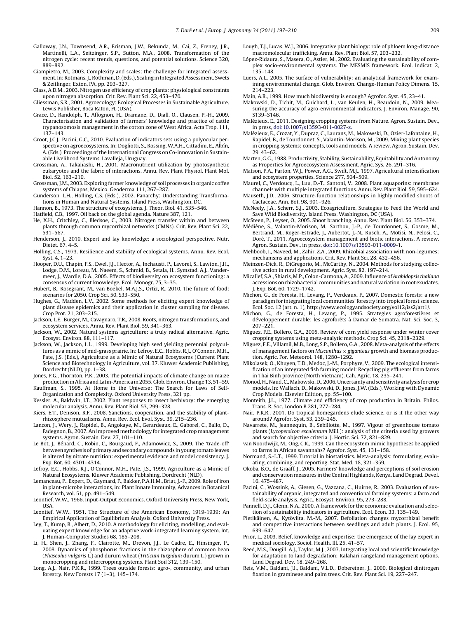- <span id="page-12-0"></span>Galloway, J.N., Townsend, A.R., Erisman, J.W., Bekunda, M., Cai, Z., Freney, J.R., Martinelli, L.A., Seitzinger, S.P., Sutton, M.A., 2008. Transformation of the nitrogen cycle: recent trends, questions, and potential solutions. Science 320, 889–892.
- Giampietro, M., 2003. Complexity and scales: the challenge for integrated assessment. In: Rotmans, J., Rothman, D. (Eds.), Scaling in Integrated Assessment. Swets & Zeitlinger, Exton, PA, pp. 293–327.
- Glass, A.D.M., 2003. Nitrogen use efficiency of crop plants: physiological constraints upon nitrogen absorption. Crit. Rev. Plant Sci. 22, 453–470.
- Gliessman, S.R., 2001. Agroecology: Ecological Processes in Sustainable Agriculture. Lewis Publisher, Boca Raton, FL (USA).
- Grace, D., Randolph, T., Affognon, H., Dramane, D., Diall, O., Clausen, P.-H., 2009. Characterisation and validation of farmers' knowledge and practice of cattle trypanosomosis management in the cotton zone of West Africa. Acta Trop. 111, 137–143.
- Groot, J.C.J., Pacini, G.C., 2010. Evaluation of indicators sets using a polyocular perspective on agroecosystems. In: Dogliotti, S., Rossing, W.A.H., Cittadini, E., Albín, A. (Eds.), Proceedings of the International Congress on Co-innovation in Sustainable Livelihood Systems. Lavalleja, Uruguay.
- Grossman, A., Takahashi, H., 2001. Macronutrient utilization by photosynthetic eukaryotes and the fabric of interactions. Annu. Rev. Plant Physiol. Plant Mol. Biol. 52, 163–210.
- Grossman, J.M., 2003. Exploring farmer knowledge of soil processes in organic coffee systems of Chiapas, Mexico. Geoderma 111, 267–287.
- Gunderson, L.H., Holling, C.S. (Eds.), 2002. Panarchy: Understanding Transformations in Human and Natural Systems. Island Press, Washington, DC.
- Hannon, B., 1973. The structure of ecosystems. J. Theor. Biol. 41, 535-546.
- Hatfield, C.B., 1997. Oil back on the global agenda. Nature 387, 121.
- He, X.H., Critchley, C., Bledsoe, C., 2003. Nitrogen transfer within and between plants through common mycorrhizal networks (CMNs). Crit. Rev. Plant Sci. 22, 531–567.
- Henderson, J., 2010. Expert and lay knowledge: a sociological perspective. Nutr. Dietet. 67, 4–5.
- Holling, C.S., 1973. Resilience and stability of ecological systems. Annu. Rev. Ecol. Syst. 4, 1–23.
- Hooper, D.U., Chapin, F.S., Ewel, J.J., Hector, A., Inchausti, P., Lavorel, S., Lawton, J.H., Lodge, D.M., Loreau, M., Naeem, S., Schmid, B., Setala, H., Symstad, A.J., Vandermeer, J., Wardle, D.A., 2005. Effects of biodiversity on ecosystem functioning: a consensus of current knowledge. Ecol. Monogr. 75, 3–35.
- Hubert, B., Rosegrant, M., van Boekel, M.A.J.S., Ortiz, R., 2010. The future of food: scenarios for 2050. Crop Sci. 50, S33–S50.
- Hughes, G., Madden, L.V., 2002. Some methods for eliciting expert knowledge of plant disease epidemics and their application in cluster sampling for disease. Crop Prot. 21, 203–215.
- Jackson, L.E., Burger, M., Cavagnaro, T.R., 2008. Roots, nitrogen transformations, and ecosystem services. Annu. Rev. Plant Biol. 59, 341–363.
- Jackson, W., 2002. Natural systems agriculture: a truly radical alternative. Agric. Ecosyst. Environ. 88, 111–117.
- Jackson, W., Jackson, L.L., 1999. Developing high seed yielding perennial polycultures as a mimic of mid-grass prairie. In: Lefroy, E.C., Hobbs, R.J., O'Connor, M.H., Pate, J.S. (Eds.), Agriculture as a Mimic of Natural Ecosystems (Current Plant Science and Biotechnology in Agriculture, vol. 37. Kluwer Academic Publishing, Dordrecht (NLD), pp. 1–38.
- Jones, P.G., Thornton, P.K., 2003. The potential impacts of climate change on maize production in Africa and Latin-America in 2055. Glob. Environ. Change 13, 51–59.
- Kauffman, S., 1995. At Home in the Universe: The Search for Laws of Self-
- Organization and Complexity. Oxford University Press, 321 pp. Kessler, A., Baldwin, I.T., 2002. Plant responses to insect herbivory: the emerging molecular analysis. Annu. Rev. Plant Biol. 53, 299–328.
- Kiers, E.T., Denison, R.F., 2008. Sanctions, cooperation, and the stability of plantrhizosphere mutualisms. Annu. Rev. Ecol. Evol. Syst. 39, 215–236.
- Lançon, J., Wery, J., Rapidel, B., Angokaye, M., Gerardeaux, E., Gaborel, C., Ballo, D., Fadegnon, B., 2007. An improved methodology for integrated crop management systems. Agron. Sustain. Dev. 27, 101–110.
- Le Bot, J., Bénard, C., Robin, C., Bourgaud, F., Adamowicz, S., 2009. The 'trade-off' between synthesis of primary and secondary compounds in young tomato leaves is altered by nitrate nutrition: experimental evidence and model consistency. J. Exp. Bot. 60, 4301–4314.
- Lefroy, E.C., Hobbs, R.J., O'Connor, M.H., Pate, J.S., 1999. Agriculture as a Mimic of Natural Ecosystems. Kluwer Academic Publishing, Dordrecht (NLD).
- Lemanceau, P., Expert, D., Gaymard, F., Bakker, P.A.H.M., Briat, J.-F., 2009. Role of iron in plant-microbe interactions, in: Plant Innate Immunity, Advances in Botanical Research, vol. 51, pp. 491–549.
- Leontief, W.W., 1966. Input-Output Economics. Oxford University Press, New York, **IISA**
- Leontief, W.W., 1951. The Structure of the American Economy, 1919-1939: An Empirical Application of Equilibrium Analysis. Oxford University Press.
- Ley, T., Kump, B., Albert, D., 2010. A methodology for eliciting, modelling, and evaluating expert knowledge for an adaptive work-integrated learning system. Int. J. Human-Computer Studies 68, 185–208.
- Li, H., Shen, J., Zhang, F., Clairotte, M., Drevon, J.J., Le Cadre, E., Hinsinger, P., 2008. Dynamics of phosphorus fractions in the rhizosphere of common bean (Phaseolus vulgaris L.) and durum wheat (Triticum turgidum durum L.) grown in monocropping and intercropping systems. Plant Soil 312, 139–150.
- Long, A.J., Nair, P.K.R., 1999. Trees outside forests: agro-, community, and urban forestry. New Forests 17 (1–3), 145–174.
- Lough, T.J., Lucas, W.J., 2006. Integrative plant biology: role of phloem long-distance macromolecular trafficking. Annu. Rev. Plant Biol. 57, 203–232.
- López-Ridaura, S., Masera, O., Astier, M., 2002. Evaluating the sustainability of complex socio-environmental systems. The MESMIS framework. Ecol. Indicat. 2, 135–148.
- Luers, A.L., 2005. The surface of vulnerability: an analytical framework for examining environmental change. Glob. Environ. Change-Human Policy Dimens. 15, 214–223.
- Main, A.R., 1999. How much biodiversity is enough? Agrofor. Syst. 45, 23–41.
- Makowski, D., Tichit, M., Guichard, L., van Keulen, H., Beaudoin, N., 2009. Measuring the accuracy of agro-environmental indicators. J. Environ. Manage. 90, S139–S146.
- Malézieux, E., 2011. Designing cropping systems from Nature. Agron. Sustain. Dev., in press, [doi:10.1007/s13593-011-0027-z.](http://dx.doi.org/10.1007/s13593-011-0027-z)
- Malézieux, E., Crozat, Y., Dupraz, C., Laurans, M., Makowski, D., Ozier-Lafontaine, H., Rapidel, B., de Tourdonnet, S., Valantin-Morison, M., 2009. Mixing plant species in cropping systems: concepts, tools and models. A review. Agron. Sustain. Dev. 29, 43–62.
- Marten, G.G., 1988. Productivity, Stability, Sustainability, Equitability and Autonomy as Properties for Agroecosystem Assessment. Agric. Sys. 26, 291–316.
- Matson, P.A., Parton, W.J., Power, A.G., Swift, M.J., 1997. Agricultural intensification and ecosystem properties. Science 277, 504–509.
- Maurel, C., Verdoucq, L., Luu, D.-T., Santoni, V., 2008. Plant aquaporins: membrane channels with multiple integrated functions. Annu. Rev. Plant Biol. 59, 595–624.
- Mauseth, J.D., 2006. Structure-function relationships in highly modified shoots of Cactaceae. Ann. Bot. 98, 901–926.
- McNeely, J.A., Scherr, S.J., 2003. Ecoagriculture, Strategies to Feed the World and Save Wild Biodiversity. Island Press, Washington, DC (USA).
- McSteen, P., Leyser, O., 2005. Shoot branching. Annu. Rev. Plant Biol. 56, 353–374.
- Médiène, S., Valantin-Morison, M., Sarthou, J.-P., de Tourdonnet, S., Gosme, M., Bertrand, M., Roger-Estrade, J., Aubertot, J.-N., Rusch, A., Motisi, N., Pelosi, C., Doré, T., 2011. Agroecosystem management and biotic interactions. A review. Agron. Sustain. Dev., in press, [doi:10.1007/s13593-011-0009-1.](http://dx.doi.org/10.1007/s13593-011-0009-1)
- Mehboob, I., Naveed, M., Zahir, Z.A., 2009. Rhizobial association with non-legumes: mechanisms and applications. Crit. Rev. Plant Sci. 28, 432–456.
- Meinzen-Dick, R., DiGregorio, M., McCarthy, N., 2004. Methods for studying collective action in rural development. Agric. Syst. 82, 197–214.
- Micallef, S.A., Shiaris,M.P., Colon-Carmona, A., 2009. Influence of Arabidopsis thaliana accessions on rhizobacterial communities and natural variation in root exudates. J. Exp. Bot. 60, 1729–1742.
- Michon, G., de Foresta, H., Levang, P., Verdeaux, F., 2007. Domestic forests: a new paradigm for integrating local communities' forestry into tropical forest science. Ecol. Soc. 12 (art. n. 1), http://www.ecologyandsociety.org/vol12/iss2/art1/.
- Michon, G., de Foresta, H., Levang, P., 1995. Strategies agroforestières et développement durable: les agroforêts à Damar de Sumatra. Nat. Sci. Soc. 3, 207–221.
- Miguez, F.E., Bollero, G.A., 2005. Review of corn yield response under winter cover cropping systems using meta-analytic methods. Crop Sci. 45, 2318–2329.
- Miguez, F.E., Villamil, M.B., Long, S.P., Bollero, G.A., 2008. Meta-analysis of the effects of management factors on Miscanthus  $\times$  giganteus growth and biomass production. Agric. For. Meteorol. 148, 1280–1292.
- Mikolasek, O., Khuyen, T.D., Medoc, J.-M., Porphyre, V., 2009. The ecological intensification of an integrated fish farming model: Recycling pig effluents from farms in Thai Binh province (North Vietnam). Cah. Agric. 18, 235–241.
- Monod, H., Naud, C.,Makowski, D., 2006. Uncertainty and sensitivity analysis for crop models. In: Wallach, D., Makowski, D., Jones, J.W. (Eds.), Working with Dynamic Crop Models. Elsevier Edition, pp. 55–100.
- Monteith, J.L., 1977. Climate and efficiency of crop production in Britain. Philos. Trans. R. Soc. London B 281, 277–284.
- Nair, P.K.R., 2001. Do tropical homegardens elude science, or is it the other way around? Agrofor. Syst. 53, 239–245.
- Navarrete, M., Jeannequin, B., Sebillotte, M., 1997. Vigour of greenhouse tomato plants (Lycopersicon esculentum Mill.): analysis of the criteria used by growers and search for objective criteria. J. Hortic. Sci. 72, 821–829.
- van Noordwijk, M., Ong, C.K., 1999. Can the ecosystem mimic hypotheses be applied to farms in African savannahs? Agrofor. Syst. 45, 131–158.
- Normand, S.-L.T., 1999. Tutorial in biostatistics. Meta-analysis: formulating, evaluating, combining, and reporting. Stat. Med. 18, 321–359.
- Okoba, B.O., de Graaff, J., 2005. Farmers' knowledge and perceptions of soil erosion and conservation measures in the Central Highlands, Kenya. Land Degrad. Devel. 16, 475–487.
- Pacini, C., Wossink, A., Giesen, G., Vazzana, C., Huirne, R., 2003. Evaluation of sustainability of organic, integrated and conventional farming systems: a farm and field-scale analysis. Agric., Ecosyst. Environ. 95, 273–288.
- Pannell, D.J., Glenn, N.A., 2000. A framework for the economic evaluation and selection of sustainability indicators in agriculture. Ecol. Econ. 33, 135–149.
- Pietikäinen, A., Kytöviita, M.-M., 2007. Defoliation changes mycorrhizal benefit and competitive interactions between seedlings and adult plants. J. Ecol. 95, 639–647.
- Prior, L., 2003. Belief, knowledge and expertise: the emergence of the lay expert in medical sociology. Sociol. Health. Ill. 25, 41–57.
- Reed, M.S., Dougill, A.J., Taylor, M.J., 2007. Integrating local and scientific knowledge for adaptation to land degradation: Kalahari rangeland management options. Land Degrad. Dev. 18, 249–268.
- Reis, V.M., Baldani, J.I., Baldani, V.L.D., Dobereiner, J., 2000. Biological dinitrogen fixation in gramineae and palm trees. Crit. Rev. Plant Sci. 19, 227–247.